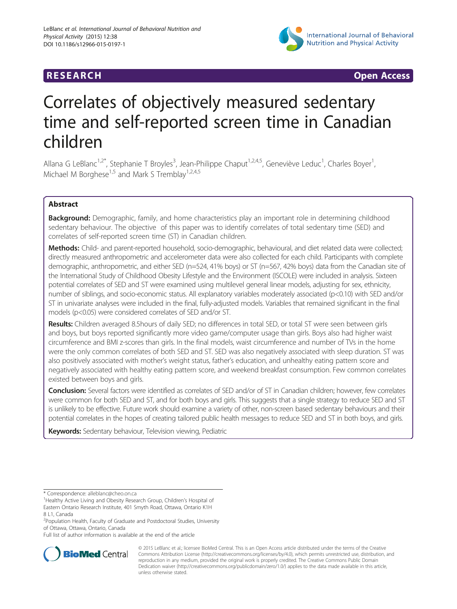

**RESEARCH RESEARCH** *CHECKER CHECKER CHECKER CHECKER CHECKER CHECKER CHECKER CHECKER CHECKER CHECKER CHECKER* 

# Correlates of objectively measured sedentary time and self-reported screen time in Canadian children

Allana G LeBlanc<sup>1,2\*</sup>, Stephanie T Broyles<sup>3</sup>, Jean-Philippe Chaput<sup>1,2,4,5</sup>, Geneviève Leduc<sup>1</sup>, Charles Boyer<sup>1</sup> , Michael M Borghese<sup>1,5</sup> and Mark S Tremblay<sup>1,2,4,5</sup>

### Abstract

Background: Demographic, family, and home characteristics play an important role in determining childhood sedentary behaviour. The objective of this paper was to identify correlates of total sedentary time (SED) and correlates of self-reported screen time (ST) in Canadian children.

Methods: Child- and parent-reported household, socio-demographic, behavioural, and diet related data were collected; directly measured anthropometric and accelerometer data were also collected for each child. Participants with complete demographic, anthropometric, and either SED (n=524, 41% boys) or ST (n=567, 42% boys) data from the Canadian site of the International Study of Childhood Obesity Lifestyle and the Environment (ISCOLE) were included in analysis. Sixteen potential correlates of SED and ST were examined using multilevel general linear models, adjusting for sex, ethnicity, number of siblings, and socio-economic status. All explanatory variables moderately associated (p<0.10) with SED and/or ST in univariate analyses were included in the final, fully-adjusted models. Variables that remained significant in the final models (p<0.05) were considered correlates of SED and/or ST.

Results: Children averaged 8.5hours of daily SED; no differences in total SED, or total ST were seen between girls and boys, but boys reported significantly more video game/computer usage than girls. Boys also had higher waist circumference and BMI z-scores than girls. In the final models, waist circumference and number of TVs in the home were the only common correlates of both SED and ST. SED was also negatively associated with sleep duration. ST was also positively associated with mother's weight status, father's education, and unhealthy eating pattern score and negatively associated with healthy eating pattern score, and weekend breakfast consumption. Few common correlates existed between boys and girls.

Conclusion: Several factors were identified as correlates of SED and/or of ST in Canadian children; however, few correlates were common for both SED and ST, and for both boys and girls. This suggests that a single strategy to reduce SED and ST is unlikely to be effective. Future work should examine a variety of other, non-screen based sedentary behaviours and their potential correlates in the hopes of creating tailored public health messages to reduce SED and ST in both boys, and girls.

Keywords: Sedentary behaviour, Television viewing, Pediatric

<sup>2</sup> Population Health, Faculty of Graduate and Postdoctoral Studies, University of Ottawa, Ottawa, Ontario, Canada

Full list of author information is available at the end of the article



© 2015 LeBlanc et al.; licensee BioMed Central. This is an Open Access article distributed under the terms of the Creative Commons Attribution License [\(http://creativecommons.org/licenses/by/4.0\)](http://creativecommons.org/licenses/by/4.0), which permits unrestricted use, distribution, and reproduction in any medium, provided the original work is properly credited. The Creative Commons Public Domain Dedication waiver [\(http://creativecommons.org/publicdomain/zero/1.0/](http://creativecommons.org/publicdomain/zero/1.0/)) applies to the data made available in this article, unless otherwise stated.

<sup>\*</sup> Correspondence: [alleblanc@cheo.on.ca](mailto:alleblanc@cheo.on.ca) <sup>1</sup>

<sup>&</sup>lt;sup>1</sup> Healthy Active Living and Obesity Research Group, Children's Hospital of Eastern Ontario Research Institute, 401 Smyth Road, Ottawa, Ontario K1H

<sup>8</sup> L1, Canada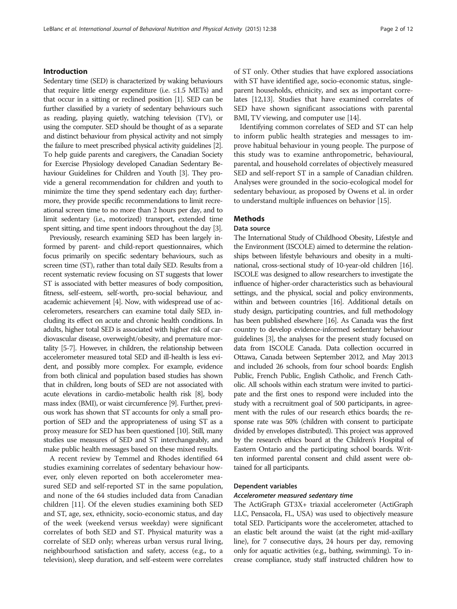#### Introduction

Sedentary time (SED) is characterized by waking behaviours that require little energy expenditure (i.e.  $\leq 1.5$  METs) and that occur in a sitting or reclined position [\[1](#page-10-0)]. SED can be further classified by a variety of sedentary behaviours such as reading, playing quietly, watching television (TV), or using the computer. SED should be thought of as a separate and distinct behaviour from physical activity and not simply the failure to meet prescribed physical activity guidelines [\[2\]](#page-10-0). To help guide parents and caregivers, the Canadian Society for Exercise Physiology developed Canadian Sedentary Behaviour Guidelines for Children and Youth [[3](#page-10-0)]. They provide a general recommendation for children and youth to minimize the time they spend sedentary each day; furthermore, they provide specific recommendations to limit recreational screen time to no more than 2 hours per day, and to limit sedentary (i.e., motorized) transport, extended time spent sitting, and time spent indoors throughout the day [[3](#page-10-0)].

Previously, research examining SED has been largely informed by parent- and child-report questionnaires, which focus primarily on specific sedentary behaviours, such as screen time (ST), rather than total daily SED. Results from a recent systematic review focusing on ST suggests that lower ST is associated with better measures of body composition, fitness, self-esteem, self-worth, pro-social behaviour, and academic achievement [\[4\]](#page-10-0). Now, with widespread use of accelerometers, researchers can examine total daily SED, including its effect on acute and chronic health conditions. In adults, higher total SED is associated with higher risk of cardiovascular disease, overweight/obesity, and premature mortality [\[5-7](#page-10-0)]. However, in children, the relationship between accelerometer measured total SED and ill-health is less evident, and possibly more complex. For example, evidence from both clinical and population based studies has shown that in children, long bouts of SED are not associated with acute elevations in cardio-metabolic health risk [\[8\]](#page-10-0), body mass index (BMI), or waist circumference [\[9\]](#page-10-0). Further, previous work has shown that ST accounts for only a small proportion of SED and the appropriateness of using ST as a proxy measure for SED has been questioned [\[10](#page-10-0)]. Still, many studies use measures of SED and ST interchangeably, and make public health messages based on these mixed results.

A recent review by Temmel and Rhodes identified 64 studies examining correlates of sedentary behaviour however, only eleven reported on both accelerometer measured SED and self-reported ST in the same population, and none of the 64 studies included data from Canadian children [\[11\]](#page-10-0). Of the eleven studies examining both SED and ST, age, sex, ethnicity, socio-economic status, and day of the week (weekend versus weekday) were significant correlates of both SED and ST. Physical maturity was a correlate of SED only; whereas urban versus rural living, neighbourhood satisfaction and safety, access (e.g., to a television), sleep duration, and self-esteem were correlates of ST only. Other studies that have explored associations with ST have identified age, socio-economic status, singleparent households, ethnicity, and sex as important correlates [\[12,13\]](#page-10-0). Studies that have examined correlates of SED have shown significant associations with parental BMI, TV viewing, and computer use [[14](#page-10-0)].

Identifying common correlates of SED and ST can help to inform public health strategies and messages to improve habitual behaviour in young people. The purpose of this study was to examine anthropometric, behavioural, parental, and household correlates of objectively measured SED and self-report ST in a sample of Canadian children. Analyses were grounded in the socio-ecological model for sedentary behaviour, as proposed by Owens et al. in order to understand multiple influences on behavior [\[15\]](#page-10-0).

#### **Methods**

#### Data source

The International Study of Childhood Obesity, Lifestyle and the Environment (ISCOLE) aimed to determine the relationships between lifestyle behaviours and obesity in a multinational, cross-sectional study of 10-year-old children [\[16\]](#page-10-0). ISCOLE was designed to allow researchers to investigate the influence of higher-order characteristics such as behavioural settings, and the physical, social and policy environments, within and between countries [\[16](#page-10-0)]. Additional details on study design, participating countries, and full methodology has been published elsewhere [\[16](#page-10-0)]. As Canada was the first country to develop evidence-informed sedentary behaviour guidelines [\[3\]](#page-10-0), the analyses for the present study focused on data from ISCOLE Canada. Data collection occurred in Ottawa, Canada between September 2012, and May 2013 and included 26 schools, from four school boards: English Public, French Public, English Catholic, and French Catholic. All schools within each stratum were invited to participate and the first ones to respond were included into the study with a recruitment goal of 500 participants, in agreement with the rules of our research ethics boards; the response rate was 50% (children with consent to participate divided by envelopes distributed). This project was approved by the research ethics board at the Children's Hospital of Eastern Ontario and the participating school boards. Written informed parental consent and child assent were obtained for all participants.

#### Dependent variables

#### Accelerometer measured sedentary time

The ActiGraph GT3X+ triaxial accelerometer (ActiGraph LLC, Pensacola, FL, USA) was used to objectively measure total SED. Participants wore the accelerometer, attached to an elastic belt around the waist (at the right mid-axillary line), for 7 consecutive days, 24 hours per day, removing only for aquatic activities (e.g., bathing, swimming). To increase compliance, study staff instructed children how to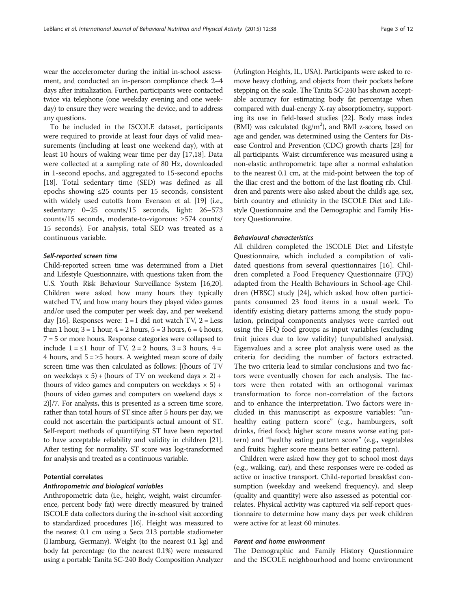wear the accelerometer during the initial in-school assessment, and conducted an in-person compliance check 2–4 days after initialization. Further, participants were contacted twice via telephone (one weekday evening and one weekday) to ensure they were wearing the device, and to address any questions.

To be included in the ISCOLE dataset, participants were required to provide at least four days of valid measurements (including at least one weekend day), with at least 10 hours of waking wear time per day [\[17,18\]](#page-10-0). Data were collected at a sampling rate of 80 Hz, downloaded in 1-second epochs, and aggregated to 15-second epochs [[18\]](#page-10-0). Total sedentary time (SED) was defined as all epochs showing ≤25 counts per 15 seconds, consistent with widely used cutoffs from Evenson et al. [\[19](#page-10-0)] (i.e., sedentary: 0–25 counts/15 seconds, light: 26–573 counts/15 seconds, moderate-to-vigorous: ≥574 counts/ 15 seconds). For analysis, total SED was treated as a continuous variable.

#### Self-reported screen time

Child-reported screen time was determined from a Diet and Lifestyle Questionnaire, with questions taken from the U.S. Youth Risk Behaviour Surveillance System [[16,20](#page-10-0)]. Children were asked how many hours they typically watched TV, and how many hours they played video games and/or used the computer per week day, and per weekend day [[16](#page-10-0)]. Responses were:  $1 = I$  did not watch TV,  $2 =$  Less than 1 hour,  $3 = 1$  hour,  $4 = 2$  hours,  $5 = 3$  hours,  $6 = 4$  hours, 7 = 5 or more hours. Response categories were collapsed to include  $1 = \leq 1$  hour of TV,  $2 = 2$  hours,  $3 = 3$  hours,  $4 = 1$ 4 hours, and  $5 = \ge 5$  hours. A weighted mean score of daily screen time was then calculated as follows: [(hours of TV on weekdays  $x$  5) + (hours of TV on weekend days  $\times$  2) + (hours of video games and computers on weekdays  $\times$  5) + (hours of video games and computers on weekend days × 2)]/7. For analysis, this is presented as a screen time score, rather than total hours of ST since after 5 hours per day, we could not ascertain the participant's actual amount of ST. Self-report methods of quantifying ST have been reported to have acceptable reliability and validity in children [\[21](#page-10-0)]. After testing for normality, ST score was log-transformed for analysis and treated as a continuous variable.

#### Potential correlates

#### Anthropometric and biological variables

Anthropometric data (i.e., height, weight, waist circumference, percent body fat) were directly measured by trained ISCOLE data collectors during the in-school visit according to standardized procedures [[16](#page-10-0)]. Height was measured to the nearest 0.1 cm using a Seca 213 portable stadiometer (Hamburg, Germany). Weight (to the nearest 0.1 kg) and body fat percentage (to the nearest 0.1%) were measured using a portable Tanita SC-240 Body Composition Analyzer (Arlington Heights, IL, USA). Participants were asked to remove heavy clothing, and objects from their pockets before stepping on the scale. The Tanita SC-240 has shown acceptable accuracy for estimating body fat percentage when compared with dual-energy X-ray absorptiometry, supporting its use in field-based studies [\[22\]](#page-10-0). Body mass index (BMI) was calculated ( $\text{kg/m}^2$ ), and BMI z-score, based on age and gender, was determined using the Centers for Disease Control and Prevention (CDC) growth charts [[23](#page-10-0)] for all participants. Waist circumference was measured using a non-elastic anthropometric tape after a normal exhalation to the nearest 0.1 cm, at the mid-point between the top of the iliac crest and the bottom of the last floating rib. Children and parents were also asked about the child's age, sex, birth country and ethnicity in the ISCOLE Diet and Lifestyle Questionnaire and the Demographic and Family History Questionnaire.

#### Behavioural characteristics

All children completed the ISCOLE Diet and Lifestyle Questionnaire, which included a compilation of validated questions from several questionnaires [\[16](#page-10-0)]. Children completed a Food Frequency Questionnaire (FFQ) adapted from the Health Behaviours in School-age Children (HBSC) study [[24](#page-10-0)], which asked how often participants consumed 23 food items in a usual week. To identify existing dietary patterns among the study population, principal components analyses were carried out using the FFQ food groups as input variables (excluding fruit juices due to low validity) (unpublished analysis). Eigenvalues and a scree plot analysis were used as the criteria for deciding the number of factors extracted. The two criteria lead to similar conclusions and two factors were eventually chosen for each analysis. The factors were then rotated with an orthogonal varimax transformation to force non-correlation of the factors and to enhance the interpretation. Two factors were included in this manuscript as exposure variables: "unhealthy eating pattern score" (e.g., hamburgers, soft drinks, fried food; higher score means worse eating pattern) and "healthy eating pattern score" (e.g., vegetables and fruits; higher score means better eating pattern).

Children were asked how they got to school most days (e.g., walking, car), and these responses were re-coded as active or inactive transport. Child-reported breakfast consumption (weekday and weekend frequency), and sleep (quality and quantity) were also assessed as potential correlates. Physical activity was captured via self-report questionnaire to determine how many days per week children were active for at least 60 minutes.

#### Parent and home environment

The Demographic and Family History Questionnaire and the ISCOLE neighbourhood and home environment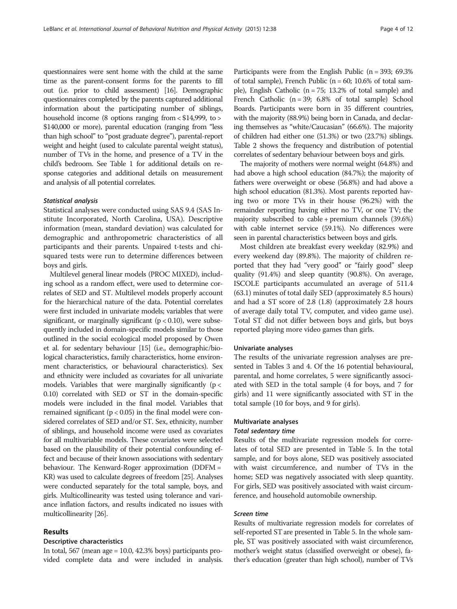questionnaires were sent home with the child at the same time as the parent-consent forms for the parents to fill out (i.e. prior to child assessment) [\[16](#page-10-0)]. Demographic questionnaires completed by the parents captured additional information about the participating number of siblings, household income (8 options ranging from < \$14,999, to > \$140,000 or more), parental education (ranging from "less than high school" to "post graduate degree"), parental-report weight and height (used to calculate parental weight status), number of TVs in the home, and presence of a TV in the child's bedroom. See Table [1](#page-4-0) for additional details on response categories and additional details on measurement and analysis of all potential correlates.

#### Statistical analysis

Statistical analyses were conducted using SAS 9.4 (SAS Institute Incorporated, North Carolina, USA). Descriptive information (mean, standard deviation) was calculated for demographic and anthropometric characteristics of all participants and their parents. Unpaired t-tests and chisquared tests were run to determine differences between boys and girls.

Multilevel general linear models (PROC MIXED), including school as a random effect, were used to determine correlates of SED and ST. Multilevel models properly account for the hierarchical nature of the data. Potential correlates were first included in univariate models; variables that were significant, or marginally significant ( $p < 0.10$ ), were subsequently included in domain-specific models similar to those outlined in the social ecological model proposed by Owen et al. for sedentary behaviour [\[15](#page-10-0)] (i.e., demographic/biological characteristics, family characteristics, home environment characteristics, or behavioural characteristics). Sex and ethnicity were included as covariates for all univariate models. Variables that were marginally significantly ( $p <$ 0.10) correlated with SED or ST in the domain-specific models were included in the final model. Variables that remained significant ( $p < 0.05$ ) in the final model were considered correlates of SED and/or ST. Sex, ethnicity, number of siblings, and household income were used as covariates for all multivariable models. These covariates were selected based on the plausibility of their potential confounding effect and because of their known associations with sedentary behaviour. The Kenward-Roger approximation (DDFM = KR) was used to calculate degrees of freedom [\[25\]](#page-10-0). Analyses were conducted separately for the total sample, boys, and girls. Multicollinearity was tested using tolerance and variance inflation factors, and results indicated no issues with multicollinearity [\[26](#page-10-0)].

#### Results

#### Descriptive characteristics

In total, 567 (mean  $age = 10.0$ , 42.3% boys) participants provided complete data and were included in analysis.

Participants were from the English Public (n = 393; 69.3% of total sample), French Public ( $n = 60$ ; 10.6% of total sample), English Catholic (n = 75; 13.2% of total sample) and French Catholic  $(n = 39; 6.8\%$  of total sample) School Boards. Participants were born in 35 different countries, with the majority (88.9%) being born in Canada, and declaring themselves as "white/Caucasian" (66.6%). The majority of children had either one (51.3%) or two (23.7%) siblings. Table [2](#page-5-0) shows the frequency and distribution of potential correlates of sedentary behaviour between boys and girls.

The majority of mothers were normal weight (64.8%) and had above a high school education (84.7%); the majority of fathers were overweight or obese (56.8%) and had above a high school education (81.3%). Most parents reported having two or more TVs in their house (96.2%) with the remainder reporting having either no TV, or one TV; the majority subscribed to cable + premium channels (39.6%) with cable internet service (59.1%). No differences were seen in parental characteristics between boys and girls.

Most children ate breakfast every weekday (82.9%) and every weekend day (89.8%). The majority of children reported that they had "very good" or "fairly good" sleep quality (91.4%) and sleep quantity (90.8%). On average, ISCOLE participants accumulated an average of 511.4 (63.1) minutes of total daily SED (approximately 8.5 hours) and had a ST score of 2.8 (1.8) (approximately 2.8 hours of average daily total TV, computer, and video game use). Total ST did not differ between boys and girls, but boys reported playing more video games than girls.

#### Univariate analyses

The results of the univariate regression analyses are presented in Tables [3](#page-6-0) and [4](#page-7-0). Of the 16 potential behavioural, parental, and home correlates, 5 were significantly associated with SED in the total sample (4 for boys, and 7 for girls) and 11 were significantly associated with ST in the total sample (10 for boys, and 9 for girls).

#### Multivariate analyses

#### Total sedentary time

Results of the multivariate regression models for correlates of total SED are presented in Table [5.](#page-8-0) In the total sample, and for boys alone, SED was positively associated with waist circumference, and number of TVs in the home; SED was negatively associated with sleep quantity. For girls, SED was positively associated with waist circumference, and household automobile ownership.

#### Screen time

Results of multivariate regression models for correlates of self-reported ST are presented in Table [5](#page-8-0). In the whole sample, ST was positively associated with waist circumference, mother's weight status (classified overweight or obese), father's education (greater than high school), number of TVs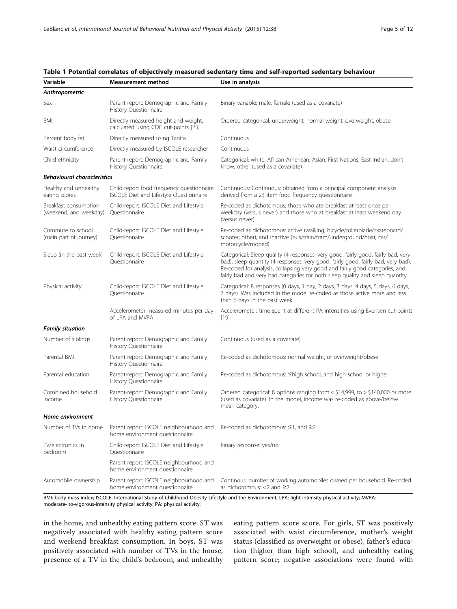| Anthropometric<br>Parent-report: Demographic and Family<br>Binary variable: male, female (used as a covariate)<br>Sex<br><b>History Questionnaire</b><br>Directly measured height and weight,<br>Ordered categorical: underweight, normal weight, overweight, obese<br>BMI<br>calculated using CDC cut-points [23]<br>Percent body fat<br>Directly measured using Tanita<br>Continuous<br>Waist circumference<br>Directly measured by ISCOLE researcher<br>Continuous<br>Child ethnicity<br>Parent-report: Demographic and Family<br>Categorical: white, African American, Asian, First Nations, East Indian, don't<br><b>History Questionnaire</b><br>know, other (used as a covariate)<br><b>Behavioural characteristics</b><br>Healthy and unhealthy<br>Child-report food frequency questionnaire:<br>Continuous: Continuous: obtained from a principal component analysis<br><b>ISCOLE Diet and Lifestyle Questionnaire</b><br>derived from a 23-item food frequency questionnaire<br>eating scores<br>Breakfast consumption<br>Child-report: ISCOLE Diet and Lifestyle<br>Re-coded as dichotomous: those who ate breakfast at least once per<br>(weekend, and weekday)<br>weekday (versus never) and those who at breakfast at least weekend day<br>Questionnaire<br>(versus never).<br>Commute to school<br>Child-report: ISCOLE Diet and Lifestyle<br>Re-coded as dichotomous: active (walking, bicycle/rollerblade/skateboard/<br>Questionnaire<br>scooter, other), and inactive (bus/train/tram/underground/boat, car/<br>(main part of journey)<br>motorcycle/moped) |  |
|--------------------------------------------------------------------------------------------------------------------------------------------------------------------------------------------------------------------------------------------------------------------------------------------------------------------------------------------------------------------------------------------------------------------------------------------------------------------------------------------------------------------------------------------------------------------------------------------------------------------------------------------------------------------------------------------------------------------------------------------------------------------------------------------------------------------------------------------------------------------------------------------------------------------------------------------------------------------------------------------------------------------------------------------------------------------------------------------------------------------------------------------------------------------------------------------------------------------------------------------------------------------------------------------------------------------------------------------------------------------------------------------------------------------------------------------------------------------------------------------------------------------------------------------------------------------------------|--|
|                                                                                                                                                                                                                                                                                                                                                                                                                                                                                                                                                                                                                                                                                                                                                                                                                                                                                                                                                                                                                                                                                                                                                                                                                                                                                                                                                                                                                                                                                                                                                                                |  |
|                                                                                                                                                                                                                                                                                                                                                                                                                                                                                                                                                                                                                                                                                                                                                                                                                                                                                                                                                                                                                                                                                                                                                                                                                                                                                                                                                                                                                                                                                                                                                                                |  |
|                                                                                                                                                                                                                                                                                                                                                                                                                                                                                                                                                                                                                                                                                                                                                                                                                                                                                                                                                                                                                                                                                                                                                                                                                                                                                                                                                                                                                                                                                                                                                                                |  |
|                                                                                                                                                                                                                                                                                                                                                                                                                                                                                                                                                                                                                                                                                                                                                                                                                                                                                                                                                                                                                                                                                                                                                                                                                                                                                                                                                                                                                                                                                                                                                                                |  |
|                                                                                                                                                                                                                                                                                                                                                                                                                                                                                                                                                                                                                                                                                                                                                                                                                                                                                                                                                                                                                                                                                                                                                                                                                                                                                                                                                                                                                                                                                                                                                                                |  |
|                                                                                                                                                                                                                                                                                                                                                                                                                                                                                                                                                                                                                                                                                                                                                                                                                                                                                                                                                                                                                                                                                                                                                                                                                                                                                                                                                                                                                                                                                                                                                                                |  |
|                                                                                                                                                                                                                                                                                                                                                                                                                                                                                                                                                                                                                                                                                                                                                                                                                                                                                                                                                                                                                                                                                                                                                                                                                                                                                                                                                                                                                                                                                                                                                                                |  |
|                                                                                                                                                                                                                                                                                                                                                                                                                                                                                                                                                                                                                                                                                                                                                                                                                                                                                                                                                                                                                                                                                                                                                                                                                                                                                                                                                                                                                                                                                                                                                                                |  |
|                                                                                                                                                                                                                                                                                                                                                                                                                                                                                                                                                                                                                                                                                                                                                                                                                                                                                                                                                                                                                                                                                                                                                                                                                                                                                                                                                                                                                                                                                                                                                                                |  |
|                                                                                                                                                                                                                                                                                                                                                                                                                                                                                                                                                                                                                                                                                                                                                                                                                                                                                                                                                                                                                                                                                                                                                                                                                                                                                                                                                                                                                                                                                                                                                                                |  |
| Sleep (in the past week)<br>Child-report: ISCOLE Diet and Lifestyle<br>Categorical: Sleep quality (4 responses: very good, fairly good, fairly bad, very<br>bad), sleep quantity (4 responses: very good, fairly good, fairly bad, very bad).<br>Questionnaire<br>Re-coded for analysis, collapsing very good and fairly good categories, and<br>fairly bad and very bad categories for both sleep quality and sleep quantity.                                                                                                                                                                                                                                                                                                                                                                                                                                                                                                                                                                                                                                                                                                                                                                                                                                                                                                                                                                                                                                                                                                                                                 |  |
| Physical activity<br>Child-report: ISCOLE Diet and Lifestyle<br>Categorical: 8 responses (0 days, 1 day, 2 days, 3 days, 4 days, 5 days, 6 days,<br>Questionnaire<br>7 days). Was included in the model re-coded as those active more and less<br>than 6 days in the past week.                                                                                                                                                                                                                                                                                                                                                                                                                                                                                                                                                                                                                                                                                                                                                                                                                                                                                                                                                                                                                                                                                                                                                                                                                                                                                                |  |
| Accelerometer measured minutes per day<br>Accelerometer: time spent at different PA intensities using Evensen cut-points<br>of LPA and MVPA<br>$[19]$                                                                                                                                                                                                                                                                                                                                                                                                                                                                                                                                                                                                                                                                                                                                                                                                                                                                                                                                                                                                                                                                                                                                                                                                                                                                                                                                                                                                                          |  |
| <b>Family situation</b>                                                                                                                                                                                                                                                                                                                                                                                                                                                                                                                                                                                                                                                                                                                                                                                                                                                                                                                                                                                                                                                                                                                                                                                                                                                                                                                                                                                                                                                                                                                                                        |  |
| Number of siblings<br>Parent-report: Demographic and Family<br>Continuous (used as a covariate)<br><b>History Questionnaire</b>                                                                                                                                                                                                                                                                                                                                                                                                                                                                                                                                                                                                                                                                                                                                                                                                                                                                                                                                                                                                                                                                                                                                                                                                                                                                                                                                                                                                                                                |  |
| Parental BMI<br>Parent-report: Demographic and Family<br>Re-coded as dichotomous: normal weight, or overweight/obese<br><b>History Questionnaire</b>                                                                                                                                                                                                                                                                                                                                                                                                                                                                                                                                                                                                                                                                                                                                                                                                                                                                                                                                                                                                                                                                                                                                                                                                                                                                                                                                                                                                                           |  |
| Parental education<br>Parent-report: Demographic and Family<br>Re-coded as dichotomous: ≤high school, and high school or higher<br><b>History Questionnaire</b>                                                                                                                                                                                                                                                                                                                                                                                                                                                                                                                                                                                                                                                                                                                                                                                                                                                                                                                                                                                                                                                                                                                                                                                                                                                                                                                                                                                                                |  |
| Combined household<br>Parent-report: Demographic and Family<br>Ordered categorical: 8 options ranging from $<$ \$14,999, to $>$ \$140,000 or more<br><b>History Questionnaire</b><br>(used as covariate). In the model, income was re-coded as above/below<br>income<br>mean category.                                                                                                                                                                                                                                                                                                                                                                                                                                                                                                                                                                                                                                                                                                                                                                                                                                                                                                                                                                                                                                                                                                                                                                                                                                                                                         |  |
| Home environment                                                                                                                                                                                                                                                                                                                                                                                                                                                                                                                                                                                                                                                                                                                                                                                                                                                                                                                                                                                                                                                                                                                                                                                                                                                                                                                                                                                                                                                                                                                                                               |  |
| Number of TVs in home<br>Parent report: ISCOLE neighbourhood and<br>Re-coded as dichotomous: $\leq$ 1, and $\geq$ 2<br>home environment questionnaire                                                                                                                                                                                                                                                                                                                                                                                                                                                                                                                                                                                                                                                                                                                                                                                                                                                                                                                                                                                                                                                                                                                                                                                                                                                                                                                                                                                                                          |  |
| TV/electronics in<br>Child-report: ISCOLE Diet and Lifestyle<br>Binary response: yes/no<br>bedroom<br>Questionnaire                                                                                                                                                                                                                                                                                                                                                                                                                                                                                                                                                                                                                                                                                                                                                                                                                                                                                                                                                                                                                                                                                                                                                                                                                                                                                                                                                                                                                                                            |  |
| Parent report: ISCOLE neighbourhood and<br>home environment questionnaire                                                                                                                                                                                                                                                                                                                                                                                                                                                                                                                                                                                                                                                                                                                                                                                                                                                                                                                                                                                                                                                                                                                                                                                                                                                                                                                                                                                                                                                                                                      |  |
| Automobile ownership<br>Parent report: ISCOLE neighbourhood and<br>Continous: number of working automobiles owned per household. Re-coded<br>home environment questionnaire<br>as dichotomous: $<$ 2 and $\geq$ 2.                                                                                                                                                                                                                                                                                                                                                                                                                                                                                                                                                                                                                                                                                                                                                                                                                                                                                                                                                                                                                                                                                                                                                                                                                                                                                                                                                             |  |

#### <span id="page-4-0"></span>Table 1 Potential correlates of objectively measured sedentary time and self-reported sedentary behaviour

BMI: body mass index; ISCOLE: International Study of Childhood Obesity Lifestyle and the Environment; LPA: light-intensity physical activity; MVPA: moderate- to-vigorous-intensity physical activity; PA: physical activity.

in the home, and unhealthy eating pattern score. ST was negatively associated with healthy eating pattern score and weekend breakfast consumption. In boys, ST was positively associated with number of TVs in the house, presence of a TV in the child's bedroom, and unhealthy

eating pattern score score. For girls, ST was positively associated with waist circumference, mother's weight status (classified as overweight or obese), father's education (higher than high school), and unhealthy eating pattern score; negative associations were found with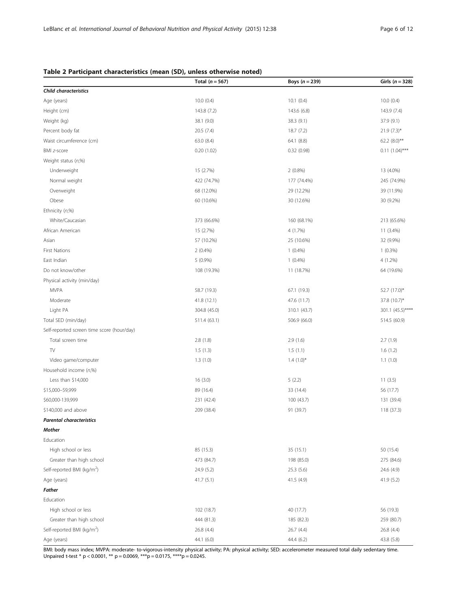#### <span id="page-5-0"></span>Table 2 Participant characteristics (mean (SD), unless otherwise noted)

|                                            | Total ( $n = 567$ ) | Boys $(n = 239)$ | Girls ( $n = 328$ ) |
|--------------------------------------------|---------------------|------------------|---------------------|
| <b>Child characteristics</b>               |                     |                  |                     |
| Age (years)                                | 10.0(0.4)           | 10.1(0.4)        | 10.0(0.4)           |
| Height (cm)                                | 143.8 (7.2)         | 143.6 (6.8)      | 143.9 (7.4)         |
| Weight (kg)                                | 38.1 (9.0)          | 38.3 (9.1)       | 37.9 (9.1)          |
| Percent body fat                           | 20.5(7.4)           | 18.7(7.2)        | $21.9(7.3)*$        |
| Waist circumference (cm)                   | 63.0 (8.4)          | 64.1 (8.8)       | 62.2 $(8.0)$ **     |
| BMI z-score                                | 0.20(1.02)          | 0.32(0.98)       | $0.11(1.04)$ ***    |
| Weight status (n,%)                        |                     |                  |                     |
| Underweight                                | 15 (2.7%)           | $2(0.8\%)$       | 13 (4.0%)           |
| Normal weight                              | 422 (74.7%)         | 177 (74.4%)      | 245 (74.9%)         |
| Overweight                                 | 68 (12.0%)          | 29 (12.2%)       | 39 (11.9%)          |
| Obese                                      | 60 (10.6%)          | 30 (12.6%)       | 30 (9.2%)           |
| Ethnicity (n,%)                            |                     |                  |                     |
| White/Caucasian                            | 373 (66.6%)         | 160 (68.1%)      | 213 (65.6%)         |
| African American                           | 15 (2.7%)           | 4 (1.7%)         | 11 (3.4%)           |
| Asian                                      | 57 (10.2%)          | 25 (10.6%)       | 32 (9.9%)           |
| <b>First Nations</b>                       | $2(0.4\%)$          | $1(0.4\%)$       | $1(0.3\%)$          |
| East Indian                                | 5 (0.9%)            | $1(0.4\%)$       | $4(1.2\%)$          |
| Do not know/other                          | 108 (19.3%)         | 11 (18.7%)       | 64 (19.6%)          |
| Physical activity (min/day)                |                     |                  |                     |
| <b>MVPA</b>                                | 58.7 (19.3)         | 67.1 (19.3)      | 52.7 (17.0)*        |
| Moderate                                   | 41.8 (12.1)         | 47.6 (11.7)      | 37.8 (10.7)*        |
| Light PA                                   | 304.8 (45.0)        | 310.1 (43.7)     | 301.1 (45.5)****    |
| Total SED (min/day)                        | 511.4 (63.1)        | 506.9 (66.0)     | 514.5 (60.9)        |
| Self-reported screen time score (hour/day) |                     |                  |                     |
| Total screen time                          | 2.8(1.8)            | 2.9(1.6)         | 2.7(1.9)            |
| TV                                         | 1.5(1.3)            | 1.5(1.1)         | 1.6(1.2)            |
| Video game/computer                        | 1.3(1.0)            | $1.4(1.0)^{*}$   | 1.1(1.0)            |
| Household income (n,%)                     |                     |                  |                     |
| Less than \$14,000                         | 16(3.0)             | 5(2.2)           | 11(3.5)             |
| \$15,000-59,999                            | 89 (16.4)           | 33 (14.4)        | 56 (17.7)           |
| \$60,000-139,999                           | 231 (42.4)          | 100 (43.7)       | 131 (39.4)          |
| \$140,000 and above                        | 209 (38.4)          | 91 (39.7)        | 118 (37.3)          |
| <b>Parental characteristics</b>            |                     |                  |                     |
| <b>Mother</b>                              |                     |                  |                     |
| Education                                  |                     |                  |                     |
| High school or less                        | 85 (15.3)           | 35 (15.1)        | 50 (15.4)           |
| Greater than high school                   | 473 (84.7)          | 198 (85.0)       | 275 (84.6)          |
| Self-reported BMI (kg/m <sup>2</sup> )     | 24.9 (5.2)          | 25.3 (5.6)       | 24.6 (4.9)          |
| Age (years)                                | 41.7(5.1)           | 41.5 (4.9)       | 41.9 (5.2)          |
| <b>Father</b>                              |                     |                  |                     |
| Education                                  |                     |                  |                     |
| High school or less                        | 102 (18.7)          | 40 (17.7)        | 56 (19.3)           |
| Greater than high school                   | 444 (81.3)          | 185 (82.3)       | 259 (80.7)          |
| Self-reported BMI (kg/m <sup>2</sup> )     | 26.8 (4.4)          | 26.7 (4.4)       | 26.8 (4.4)          |
| Age (years)                                | 44.1 (6.0)          | 44.4 (6.2)       | 43.8 (5.8)          |

BMI: body mass index; MVPA: moderate- to-vigorous-intensity physical activity; PA: physical activity; SED: accelerometer measured total daily sedentary time. Unpaired t-test \* p < 0.0001, \*\* p = 0.0069, \*\*\* p = 0.0175, \*\*\*\* p = 0.0245.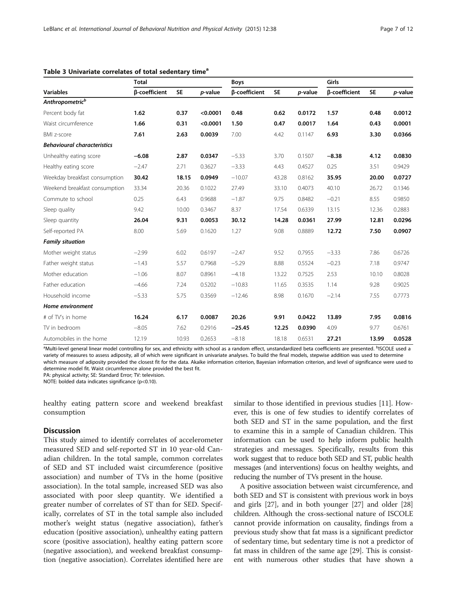|                                    | <b>Total</b>  |           |          | <b>Boys</b>   |           |         | Girls         |           |         |
|------------------------------------|---------------|-----------|----------|---------------|-----------|---------|---------------|-----------|---------|
| <b>Variables</b>                   | β-coefficient | <b>SE</b> | p-value  | β-coefficient | <b>SE</b> | p-value | β-coefficient | <b>SE</b> | p-value |
| Anthropometric <sup>b</sup>        |               |           |          |               |           |         |               |           |         |
| Percent body fat                   | 1.62          | 0.37      | < 0.0001 | 0.48          | 0.62      | 0.0172  | 1.57          | 0.48      | 0.0012  |
| Waist circumference                | 1.66          | 0.31      | < 0.0001 | 1.50          | 0.47      | 0.0017  | 1.64          | 0.43      | 0.0001  |
| BMI z-score                        | 7.61          | 2.63      | 0.0039   | 7.00          | 4.42      | 0.1147  | 6.93          | 3.30      | 0.0366  |
| <b>Behavioural characteristics</b> |               |           |          |               |           |         |               |           |         |
| Unhealthy eating score             | $-6.08$       | 2.87      | 0.0347   | $-5.33$       | 3.70      | 0.1507  | $-8.38$       | 4.12      | 0.0830  |
| Healthy eating score               | $-2.47$       | 2.71      | 0.3627   | $-3.33$       | 4.43      | 0.4527  | 0.25          | 3.51      | 0.9429  |
| Weekday breakfast consumption      | 30.42         | 18.15     | 0.0949   | $-10.07$      | 43.28     | 0.8162  | 35.95         | 20.00     | 0.0727  |
| Weekend breakfast consumption      | 33.34         | 20.36     | 0.1022   | 27.49         | 33.10     | 0.4073  | 40.10         | 26.72     | 0.1346  |
| Commute to school                  | 0.25          | 6.43      | 0.9688   | $-1.87$       | 9.75      | 0.8482  | $-0.21$       | 8.55      | 0.9850  |
| Sleep quality                      | 9.42          | 10.00     | 0.3467   | 8.37          | 17.54     | 0.6339  | 13.15         | 12.36     | 0.2883  |
| Sleep quantity                     | 26.04         | 9.31      | 0.0053   | 30.12         | 14.28     | 0.0361  | 27.99         | 12.81     | 0.0296  |
| Self-reported PA                   | 8.00          | 5.69      | 0.1620   | 1.27          | 9.08      | 0.8889  | 12.72         | 7.50      | 0.0907  |
| <b>Family situation</b>            |               |           |          |               |           |         |               |           |         |
| Mother weight status               | $-2.99$       | 6.02      | 0.6197   | $-2.47$       | 9.52      | 0.7955  | $-3.33$       | 7.86      | 0.6726  |
| Father weight status               | $-1.43$       | 5.57      | 0.7968   | $-5.29$       | 8.88      | 0.5524  | $-0.23$       | 7.18      | 0.9747  |
| Mother education                   | $-1.06$       | 8.07      | 0.8961   | $-4.18$       | 13.22     | 0.7525  | 2.53          | 10.10     | 0.8028  |
| Father education                   | $-4.66$       | 7.24      | 0.5202   | $-10.83$      | 11.65     | 0.3535  | 1.14          | 9.28      | 0.9025  |
| Household income                   | $-5.33$       | 5.75      | 0.3569   | $-12.46$      | 8.98      | 0.1670  | $-2.14$       | 7.55      | 0.7773  |
| Home environment                   |               |           |          |               |           |         |               |           |         |
| # of TV's in home                  | 16.24         | 6.17      | 0.0087   | 20.26         | 9.91      | 0.0422  | 13.89         | 7.95      | 0.0816  |
| TV in bedroom                      | $-8.05$       | 7.62      | 0.2916   | $-25.45$      | 12.25     | 0.0390  | 4.09          | 9.77      | 0.6761  |
| Automobiles in the home            | 12.19         | 10.93     | 0.2653   | $-8.18$       | 18.18     | 0.6531  | 27.21         | 13.99     | 0.0528  |

#### <span id="page-6-0"></span>Table 3 Univariate correlates of total sedentary time<sup>a</sup>

<sup>a</sup>Multi-level general linear model controlling for sex, and ethnicity with school as a random effect, unstandardized beta coefficients are presented. <sup>b</sup>ISCOLE used a variety of measures to assess adiposity, all of which were significant in univariate analyses. To build the final models, stepwise addition was used to determine which measure of adiposity provided the closest fit for the data. Akaike information criterion, Bayesian information criterion, and level of significance were used to determine model fit. Waist circumference alone provided the best fit.

PA: physical activity; SE: Standard Error; TV: television.

NOTE: bolded data indicates significance (p<0.10).

healthy eating pattern score and weekend breakfast consumption

#### **Discussion**

This study aimed to identify correlates of accelerometer measured SED and self-reported ST in 10 year-old Canadian children. In the total sample, common correlates of SED and ST included waist circumference (positive association) and number of TVs in the home (positive association). In the total sample, increased SED was also associated with poor sleep quantity. We identified a greater number of correlates of ST than for SED. Specifically, correlates of ST in the total sample also included mother's weight status (negative association), father's education (positive association), unhealthy eating pattern score (positive association), healthy eating pattern score (negative association), and weekend breakfast consumption (negative association). Correlates identified here are

similar to those identified in previous studies [\[11\]](#page-10-0). However, this is one of few studies to identify correlates of both SED and ST in the same population, and the first to examine this in a sample of Canadian children. This information can be used to help inform public health strategies and messages. Specifically, results from this work suggest that to reduce both SED and ST, public health messages (and interventions) focus on healthy weights, and reducing the number of TVs present in the house.

A positive association between waist circumference, and both SED and ST is consistent with previous work in boys and girls [\[27\]](#page-10-0), and in both younger [\[27](#page-10-0)] and older [[28](#page-10-0)] children. Although the cross-sectional nature of ISCOLE cannot provide information on causality, findings from a previous study show that fat mass is a significant predictor of sedentary time, but sedentary time is not a predictor of fat mass in children of the same age [\[29\]](#page-10-0). This is consistent with numerous other studies that have shown a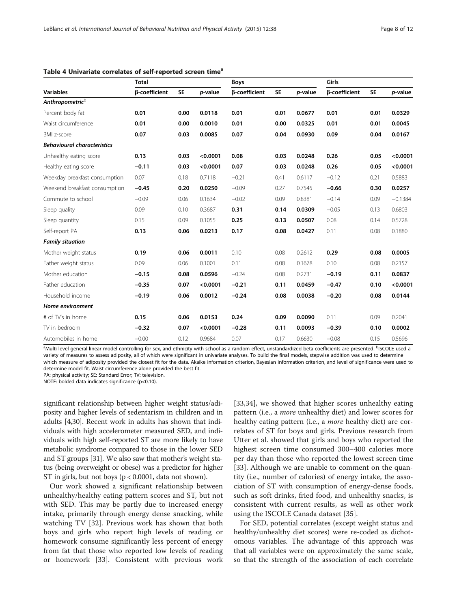|                                    | <b>Total</b>         |           |          | <b>Boys</b>          |           |                 | Girls                |           |           |
|------------------------------------|----------------------|-----------|----------|----------------------|-----------|-----------------|----------------------|-----------|-----------|
| <b>Variables</b>                   | <b>B-coefficient</b> | <b>SE</b> | p-value  | <b>B-coefficient</b> | <b>SE</b> | <i>p</i> -value | <b>ß-coefficient</b> | <b>SE</b> | p-value   |
| Anthropometric <sup>b</sup>        |                      |           |          |                      |           |                 |                      |           |           |
| Percent body fat                   | 0.01                 | 0.00      | 0.0118   | 0.01                 | 0.01      | 0.0677          | 0.01                 | 0.01      | 0.0329    |
| Waist circumference                | 0.01                 | 0.00      | 0.0010   | 0.01                 | 0.00      | 0.0325          | 0.01                 | 0.01      | 0.0045    |
| BMI z-score                        | 0.07                 | 0.03      | 0.0085   | 0.07                 | 0.04      | 0.0930          | 0.09                 | 0.04      | 0.0167    |
| <b>Behavioural characteristics</b> |                      |           |          |                      |           |                 |                      |           |           |
| Unhealthy eating score             | 0.13                 | 0.03      | < 0.0001 | 0.08                 | 0.03      | 0.0248          | 0.26                 | 0.05      | < 0.0001  |
| Healthy eating score               | $-0.11$              | 0.03      | < 0.0001 | 0.07                 | 0.03      | 0.0248          | 0.26                 | 0.05      | < 0.0001  |
| Weekday breakfast consumption      | 0.07                 | 0.18      | 0.7118   | $-0.21$              | 0.41      | 0.6117          | $-0.12$              | 0.21      | 0.5883    |
| Weekend breakfast consumption      | $-0.45$              | 0.20      | 0.0250   | $-0.09$              | 0.27      | 0.7545          | $-0.66$              | 0.30      | 0.0257    |
| Commute to school                  | $-0.09$              | 0.06      | 0.1634   | $-0.02$              | 0.09      | 0.8381          | $-0.14$              | 0.09      | $-0.1384$ |
| Sleep quality                      | 0.09                 | 0.10      | 0.3687   | 0.31                 | 0.14      | 0.0309          | $-0.05$              | 0.13      | 0.6803    |
| Sleep quantity                     | 0.15                 | 0.09      | 0.1055   | 0.25                 | 0.13      | 0.0507          | 0.08                 | 0.14      | 0.5728    |
| Self-report PA                     | 0.13                 | 0.06      | 0.0213   | 0.17                 | 0.08      | 0.0427          | 0.11                 | 0.08      | 0.1880    |
| <b>Family situation</b>            |                      |           |          |                      |           |                 |                      |           |           |
| Mother weight status               | 0.19                 | 0.06      | 0.0011   | 0.10                 | 0.08      | 0.2612          | 0.29                 | 0.08      | 0.0005    |
| Father weight status               | 0.09                 | 0.06      | 0.1001   | 0.11                 | 0.08      | 0.1678          | 0.10                 | 0.08      | 0.2157    |
| Mother education                   | $-0.15$              | 0.08      | 0.0596   | $-0.24$              | 0.08      | 0.2731          | $-0.19$              | 0.11      | 0.0837    |
| Father education                   | $-0.35$              | 0.07      | < 0.0001 | $-0.21$              | 0.11      | 0.0459          | $-0.47$              | 0.10      | < 0.0001  |
| Household income                   | $-0.19$              | 0.06      | 0.0012   | $-0.24$              | 0.08      | 0.0038          | $-0.20$              | 0.08      | 0.0144    |
| Home environment                   |                      |           |          |                      |           |                 |                      |           |           |
| # of TV's in home                  | 0.15                 | 0.06      | 0.0153   | 0.24                 | 0.09      | 0.0090          | 0.11                 | 0.09      | 0.2041    |
| TV in bedroom                      | $-0.32$              | 0.07      | < 0.0001 | $-0.28$              | 0.11      | 0.0093          | $-0.39$              | 0.10      | 0.0002    |
| Automobiles in home                | $-0.00$              | 0.12      | 0.9684   | 0.07                 | 0.17      | 0.6630          | $-0.08$              | 0.15      | 0.5696    |

#### <span id="page-7-0"></span>Table 4 Univariate correlates of self-reported screen time<sup>a</sup>

<sup>a</sup>Multi-level general linear model controlling for sex, and ethnicity with school as a random effect, unstandardized beta coefficients are presented. <sup>b</sup>ISCOLE used a variety of measures to assess adiposity, all of which were significant in univariate analyses. To build the final models, stepwise addition was used to determine which measure of adiposity provided the closest fit for the data. Akaike information criterion, Bayesian information criterion, and level of significance were used to determine model fit. Waist circumference alone provided the best fit.

PA: physical activity; SE: Standard Error; TV: television.

NOTE: bolded data indicates significance (p<0.10).

significant relationship between higher weight status/adiposity and higher levels of sedentarism in children and in adults [\[4,30\]](#page-10-0). Recent work in adults has shown that individuals with high accelerometer measured SED, and individuals with high self-reported ST are more likely to have metabolic syndrome compared to those in the lower SED and ST groups [[31](#page-10-0)]. We also saw that mother's weight status (being overweight or obese) was a predictor for higher ST in girls, but not boys (p < 0.0001, data not shown).

Our work showed a significant relationship between unhealthy/healthy eating pattern scores and ST, but not with SED. This may be partly due to increased energy intake, primarily through energy dense snacking, while watching TV [[32](#page-10-0)]. Previous work has shown that both boys and girls who report high levels of reading or homework consume significantly less percent of energy from fat that those who reported low levels of reading or homework [[33\]](#page-10-0). Consistent with previous work

[[33,34](#page-10-0)], we showed that higher scores unhealthy eating pattern (i.e., a more unhealthy diet) and lower scores for healthy eating pattern (i.e., a *more* healthy diet) are correlates of ST for boys and girls. Previous research from Utter et al. showed that girls and boys who reported the highest screen time consumed 300–400 calories more per day than those who reported the lowest screen time [[33\]](#page-10-0). Although we are unable to comment on the quantity (i.e., number of calories) of energy intake, the association of ST with consumption of energy-dense foods, such as soft drinks, fried food, and unhealthy snacks, is consistent with current results, as well as other work using the ISCOLE Canada dataset [[35](#page-10-0)].

For SED, potential correlates (except weight status and healthy/unhealthy diet scores) were re-coded as dichotomous variables. The advantage of this approach was that all variables were on approximately the same scale, so that the strength of the association of each correlate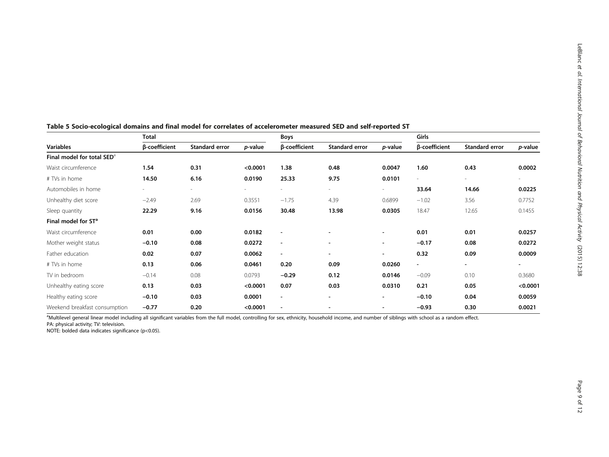|                                                   | Total         |                |                          | Boys                     |                          |                          | Girls                    |                          |                          |
|---------------------------------------------------|---------------|----------------|--------------------------|--------------------------|--------------------------|--------------------------|--------------------------|--------------------------|--------------------------|
| <b>Variables</b>                                  | β-coefficient | Standard error | <i>p</i> -value          | β-coefficient            | Standard error           | <i>p</i> -value          | β-coefficient            | Standard error           | <i>p</i> -value          |
| Final model for total $\mathsf{SED}^{\mathsf{a}}$ |               |                |                          |                          |                          |                          |                          |                          |                          |
| Waist circumference                               | 1.54          | 0.31           | < 0.0001                 | 1.38                     | 0.48                     | 0.0047                   | 1.60                     | 0.43                     | 0.0002                   |
| # TVs in home                                     | 14.50         | 6.16           | 0.0190                   | 25.33                    | 9.75                     | 0.0101                   | $\overline{\phantom{a}}$ | $\overline{\phantom{0}}$ |                          |
| Automobiles in home                               |               | $\sim$         | $\overline{\phantom{a}}$ | ٠                        | $\sim$                   | $\sim$                   | 33.64                    | 14.66                    | 0.0225                   |
| Unhealthy diet score                              | $-2.49$       | 2.69           | 0.3551                   | $-1.75$                  | 4.39                     | 0.6899                   | $-1.02$                  | 3.56                     | 0.7752                   |
| Sleep quantity                                    | 22.29         | 9.16           | 0.0156                   | 30.48                    | 13.98                    | 0.0305                   | 18.47                    | 12.65                    | 0.1455                   |
| Final model for ST <sup>a</sup>                   |               |                |                          |                          |                          |                          |                          |                          |                          |
| Waist circumference                               | 0.01          | 0.00           | 0.0182                   | $\overline{\phantom{a}}$ | $\overline{\phantom{0}}$ | $\overline{\phantom{a}}$ | 0.01                     | 0.01                     | 0.0257                   |
| Mother weight status                              | $-0.10$       | 0.08           | 0.0272                   | $\overline{\phantom{a}}$ | $\overline{\phantom{a}}$ | $\overline{\phantom{a}}$ | $-0.17$                  | 0.08                     | 0.0272                   |
| Father education                                  | 0.02          | 0.07           | 0.0062                   | $\overline{\phantom{a}}$ | $\overline{\phantom{a}}$ | $\overline{\phantom{a}}$ | 0.32                     | 0.09                     | 0.0009                   |
| # TVs in home                                     | 0.13          | 0.06           | 0.0461                   | 0.20                     | 0.09                     | 0.0260                   | $\overline{\phantom{m}}$ | ٠                        | $\overline{\phantom{a}}$ |
| TV in bedroom                                     | $-0.14$       | 0.08           | 0.0793                   | $-0.29$                  | 0.12                     | 0.0146                   | $-0.09$                  | 0.10                     | 0.3680                   |
| Unhealthy eating score                            | 0.13          | 0.03           | < 0.0001                 | 0.07                     | 0.03                     | 0.0310                   | 0.21                     | 0.05                     | < 0.0001                 |
| Healthy eating score                              | $-0.10$       | 0.03           | 0.0001                   | $\overline{\phantom{a}}$ | $\overline{\phantom{a}}$ | $\overline{\phantom{a}}$ | $-0.10$                  | 0.04                     | 0.0059                   |
| Weekend breakfast consumption                     | $-0.77$       | 0.20           | < 0.0001                 | $\overline{\phantom{a}}$ |                          |                          | $-0.93$                  | 0.30                     | 0.0021                   |

#### <span id="page-8-0"></span>Table 5 Socio-ecological domains and final model for correlates of accelerometer measured SED and self-reported ST

a<br>Multilevel general linear model including all significant variables from the full model, controlling for sex, ethnicity, household income, and number of siblings with school as a random effect. PA: physical activity; TV: television.

NOTE: bolded data indicates significance (p<0.05).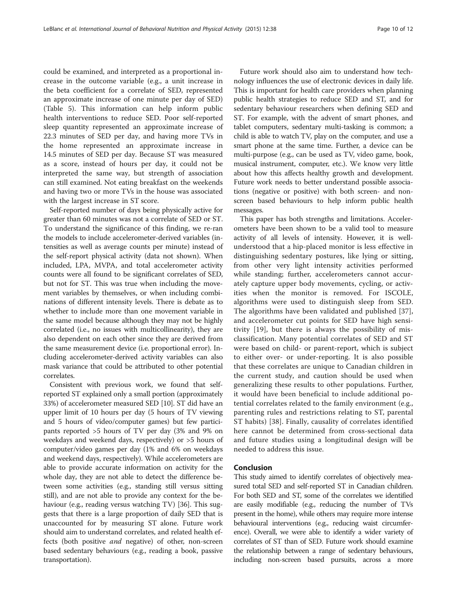could be examined, and interpreted as a proportional increase in the outcome variable (e.g., a unit increase in the beta coefficient for a correlate of SED, represented an approximate increase of one minute per day of SED) (Table [5\)](#page-8-0). This information can help inform public health interventions to reduce SED. Poor self-reported sleep quantity represented an approximate increase of 22.3 minutes of SED per day, and having more TVs in the home represented an approximate increase in 14.5 minutes of SED per day. Because ST was measured as a score, instead of hours per day, it could not be interpreted the same way, but strength of association can still examined. Not eating breakfast on the weekends and having two or more TVs in the house was associated with the largest increase in ST score.

Self-reported number of days being physically active for greater than 60 minutes was not a correlate of SED or ST. To understand the significance of this finding, we re-ran the models to include accelerometer-derived variables (intensities as well as average counts per minute) instead of the self-report physical activity (data not shown). When included, LPA, MVPA, and total accelerometer activity counts were all found to be significant correlates of SED, but not for ST. This was true when including the movement variables by themselves, or when including combinations of different intensity levels. There is debate as to whether to include more than one movement variable in the same model because although they may not be highly correlated (i.e., no issues with multicollinearity), they are also dependent on each other since they are derived from the same measurement device (i.e. proportional error). Including accelerometer-derived activity variables can also mask variance that could be attributed to other potential correlates.

Consistent with previous work, we found that selfreported ST explained only a small portion (approximately 33%) of accelerometer measured SED [[10\]](#page-10-0). ST did have an upper limit of 10 hours per day (5 hours of TV viewing and 5 hours of video/computer games) but few participants reported >5 hours of TV per day (3% and 9% on weekdays and weekend days, respectively) or >5 hours of computer/video games per day (1% and 6% on weekdays and weekend days, respectively). While accelerometers are able to provide accurate information on activity for the whole day, they are not able to detect the difference between some activities (e.g., standing still versus sitting still), and are not able to provide any context for the behaviour (e.g., reading versus watching TV) [[36](#page-11-0)]. This suggests that there is a large proportion of daily SED that is unaccounted for by measuring ST alone. Future work should aim to understand correlates, and related health effects (both positive and negative) of other, non-screen based sedentary behaviours (e.g., reading a book, passive transportation).

Future work should also aim to understand how technology influences the use of electronic devices in daily life. This is important for health care providers when planning public health strategies to reduce SED and ST, and for sedentary behaviour researchers when defining SED and ST. For example, with the advent of smart phones, and tablet computers, sedentary multi-tasking is common; a child is able to watch TV, play on the computer, and use a smart phone at the same time. Further, a device can be multi-purpose (e.g., can be used as TV, video game, book, musical instrument, computer, etc.). We know very little about how this affects healthy growth and development. Future work needs to better understand possible associations (negative or positive) with both screen- and nonscreen based behaviours to help inform public health messages.

This paper has both strengths and limitations. Accelerometers have been shown to be a valid tool to measure activity of all levels of intensity. However, it is wellunderstood that a hip-placed monitor is less effective in distinguishing sedentary postures, like lying or sitting, from other very light intensity activities performed while standing; further, accelerometers cannot accurately capture upper body movements, cycling, or activities when the monitor is removed. For ISCOLE, algorithms were used to distinguish sleep from SED. The algorithms have been validated and published [\[37](#page-11-0)], and accelerometer cut points for SED have high sensitivity [[19\]](#page-10-0), but there is always the possibility of misclassification. Many potential correlates of SED and ST were based on child- or parent-report, which is subject to either over- or under-reporting. It is also possible that these correlates are unique to Canadian children in the current study, and caution should be used when generalizing these results to other populations. Further, it would have been beneficial to include additional potential correlates related to the family environment (e.g., parenting rules and restrictions relating to ST, parental ST habits) [[38](#page-11-0)]. Finally, causality of correlates identified here cannot be determined from cross-sectional data and future studies using a longitudinal design will be needed to address this issue.

#### Conclusion

This study aimed to identify correlates of objectively measured total SED and self-reported ST in Canadian children. For both SED and ST, some of the correlates we identified are easily modifiable (e.g., reducing the number of TVs present in the home), while others may require more intense behavioural interventions (e.g., reducing waist circumference). Overall, we were able to identify a wider variety of correlates of ST than of SED. Future work should examine the relationship between a range of sedentary behaviours, including non-screen based pursuits, across a more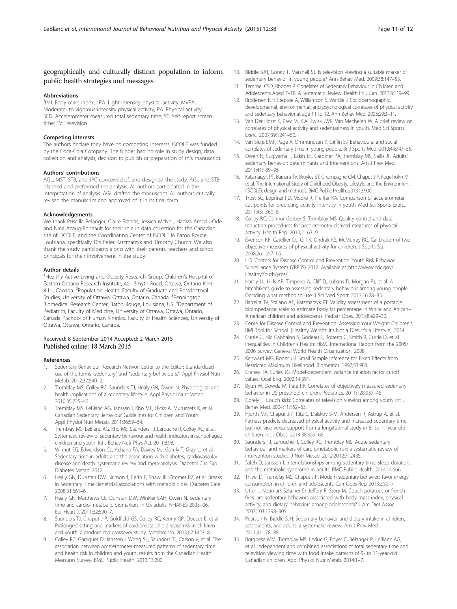#### <span id="page-10-0"></span>geographically and culturally distinct population to inform public health strategies and messages.

#### Abbreviations

BMI: Body mass index; LPA: Light-intensity physical activity; MVPA: Moderate- to vigorous-intensity physical activity; PA: Physical activity; SED: Accelerometer measured total sedentary time; ST: Self-report screen time; TV: Television.

#### Competing interests

The authors declare they have no competing interests; ISCOLE was funded by the Coca-Cola Company. The funder had no role in study design, data collection and analysis, decision to publish or preparation of this manuscript.

#### Authors' contributions

AGL, MST, STB, and JPC conceived of, and designed the study. AGL and STB planned and preformed the analysis. All authors participated in the interpretation of analysis. AGL drafted the manuscript. All authors critically revised the manuscript and approved of it in its final form.

#### Acknowledgements

We thank Priscilla Belanger, Claire Francis, Jessica McNeil, Hadiza Amedu-Ode and Nina Azoug-Boneault for their role in data collection for the Canadian site of ISCOLE, and the Coordinating Center of ISCOLE in Baton Rouge, Louisiana, specifically Drs Peter Katzmarzyk and Timothy Church. We also thank the study participants along with their parents, teachers and school principals for their involvement in the study.

#### Author details

<sup>1</sup> Healthy Active Living and Obesity Research Group, Children's Hospital of Eastern Ontario Research Institute, 401 Smyth Road, Ottawa, Ontario K1H 8 L1, Canada. <sup>2</sup>Population Health, Faculty of Graduate and Postdoctoral Studies, University of Ottawa, Ottawa, Ontario, Canada. <sup>3</sup>Pennington Biomedical Research Center, Baton Rouge, Louisiana, US. <sup>4</sup> Department of Pediatrics, Faculty of Medicine, University of Ottawa, Ottawa, Ontario, Canada. <sup>5</sup>School of Human Kinetics, Faculty of Health Sciences, University of Ottawa, Ottawa, Ontario, Canada.

## Received: 8 September 2014 Accepted: 2 March 2015<br>Published online: 18 March 2015

#### References

- 1. Sedentary Behaviour Research Networ. Letter to the Editor: Standardized use of the terms "sedentary" and "sedentary behaviours.". Appl Physiol Nutr Metab. 2012;37:540–2.
- 2. Tremblay MS, Colley RC, Saunders TJ, Healy GN, Owen N. Physiological and health implications of a sedentary lifestyle. Appl Physiol Nutr Metab. 2010;35:725–40.
- 3. Tremblay MS, LeBlanc AG, Janssen I, Kho ME, Hicks A, Murumets K, et al. Canadian Sedentary Behaviour Guidelines for Children and Youth. Appl Physiol Nutr Metab. 2011;36:59–64.
- 4. Tremblay MS, LeBlanc AG, Kho ME, Saunders TJ, Larouche R, Colley RC, et al. Systematic review of sedentary behaviour and health indicators in school-aged children and youth. Int J Behav Nutr Phys Act. 2011;8:98.
- 5. Wilmot EG, Edwardson CL, Achana FA, Davies MJ, Gorely T, Gray LJ et al. Sedentary time in adults and the association with diabetes, cardiovascular disease and death: systematic review and meta-analysis. Diabetol Clin Exp Diabetes Metab. 2012.
- 6. Healy GN, Dunstan DW, Salmon J, Cerin E, Shaw JE, Zimmet PZ, et al. Breaks in Sedentary Time Beneficial associations with metabolic risk. Diabetes Care. 2008;31:661–6.
- 7. Healy GN, Matthews CE, Dunstan DW, Winkler EAH, Owen N. Sedentary time and cardio-metabolic biomarkers in US adults: NHANES 2003–06. Eur Heart J. 2011;32:590–7.
- 8. Saunders TJ, Chaput J-P, Goldfield GS, Colley RC, Kenny GP, Doucet E, et al. Prolonged sitting and markers of cardiometabolic disease risk in children and youth: a randomized crossover study. Metabolism. 2013;62:1423–8.
- 9. Colley RC, Garriguet D, Janssen I, Wong SL, Saunders TJ, Carson V, et al. The association between accelerometer-measured patterns of sedentary time and health risk in children and youth: results from the Canadian Health Measures Survey. BMC Public Health. 2013;13:200.
- 10. Biddle SJH, Gorely T, Marshall SJ. Is television viewing a suitable marker of sedentary behavior in young people? Ann Behav Med. 2009;38:147–53.
- 11. Temmel CSD, Rhodes R. Correlates of Sedentary Behaviour in Children and Adolescents Aged 7–18: A Systematic Review. Health Fit J Can. 2013;6:119–99.
- 12. Brodersen NH, Steptoe A, Williamson S, Wardle J. Sociodemographic, developmental, environmental, and psychological correlates of physical activity and sedentary behavior at age 11 to 12. Ann Behav Med. 2005;29:2–11.
- 13. Van Der Horst K, Paw MJ CA, Twisk JWR, Van Mechelen W. A brief review on correlates of physical activity and sedentariness in youth. Med Sci Sports Exerc. 2007;39:1241–50.
- 14. van Sluijs EMF, Page A, Ommundsen Y, Griffin SJ. Behavioural and social correlates of sedentary time in young people. Br J Sports Med. 2010;44:747–55.
- 15. Owen N, Sugiyama T, Eakin EE, Gardiner PA, Tremblay MS, Sallis JF. Adults' sedentary behavior: determinants and interventions. Am J Prev Med. 2011;41:189–96.
- 16. Katzmarzyk PT, Barreira TV, Broyles ST, Champagne CM, Chaput J-P, Fogelholm M, et al. The International Study of Childhood Obesity, Lifestyle and the Environment (ISCOLE): design and methods. BMC Public Health. 2013;13:900.
- 17. Trost SG, Loprinzi PD, Moore R, Pfeiffer KA. Comparison of accelerometer cut points for predicting activity intensity in youth. Med Sci Sports Exerc. 2011;43:1360–8.
- 18. Colley RC, Connor Gorber S, Tremblay MS. Quality control and data reduction procedures for accelerometry-derived measures of physical activity. Health Rep. 2010;21:63–9.
- 19. Evenson KR, Catellier DJ, Gill K, Ondrak KS, McMurray RG. Calibration of two objective measures of physical activity for children. J Sports Sci. 2008;26:1557–65.
- 20. U.S. Centers for Disease Control and Prevention. Youth Risk Behavior Surveillance System (YRBSS). 2012. Available at: [http://www.cdc.gov/](http://www.cdc.gov/HealthyYouth/yrbs/) [HealthyYouth/yrbs/.](http://www.cdc.gov/HealthyYouth/yrbs/)
- 21. Hardy LL, Hills AP, Timperio A, Cliff D, Lubans D, Morgan PJ, et al. A hitchhiker's guide to assessing sedentary behaviour among young people: Deciding what method to use. J Sci Med Sport. 2013;16:28–35.
- 22. Barreira TV, Staiano AE, Katzmarzyk PT. Validity assessment of a portable bioimpedance scale to estimate body fat percentage in White and African– American children and adolescents. Pediatr Obes. 2013;8:e29–32.
- 23. Cenre for Disease Control and Prevention. Assessing Your Weight: Children's BMI Tool for School. [Healthy Weight: It's Not a Diet, It's a Lifestyle]. 2014.
- 24. Currie C, Nic Gabhainn S, Godeau E, Roberts C, Smith R, Currie D, et al. Inequalities in Children's Health: HBSC International Report from the 2005/ 2006 Survey. Geneva: World Health Organization; 2008.
- 25. Kenward MG, Roger JH. Small Sample Inference for Fixed Effects from Restricted Maximum Likelihood. Biometrics. 1997;53:983.
- 26. Craney TA, Surles JG. Model-dependent variance inflation factor cutoff values. Qual Eng. 2002;14:391.
- 27. Byun W, Dowda M, Pate RR. Correlates of objectively measured sedentary behavior in US preschool children. Pediatrics. 2011;128:937–45.
- 28. Gorely T. Couch kids: Correlates of television viewing among youth. Int J Behav Med. 2004;11:152–63.
- 29. Hjorth MF, Chaput J-P, Ritz C, Dalskov S-M, Andersen R, Astrup A, et al. Fatness predicts decreased physical activity and increased sedentary time, but not vice versa: support from a longitudinal study in 8- to 11-year-old children. Int J Obes. 2014;38:959–65.
- 30. Saunders TJ, Larouche R, Colley RC, Tremblay MS. Acute sedentary behaviour and markers of cardiometabolic risk: a systematic review of intervention studies. J Nutr Metab. 2012;2012:712435.
- 31. Saleh D, Janssen I. Interrelationships among sedentary time, sleep duration, and the metabolic syndrome in adults. BMC Public Health. 2014;14:666.
- 32. Thivel D, Tremblay MS, Chaput J-P. Modern sedentary behaviors favor energy consumption in children and adolescents. Curr Obes Rep. 2013;2:50–7.
- 33. Utter J, Neumark-Sztainer D, Jeffery R, Story M. Couch potatoes or french fries: are sedentary behaviors associated with body mass index, physical activity, and dietary behaviors among adolescents? J Am Diet Assoc. 2003;103:1298–305.
- 34. Pearson N, Biddle SJH. Sedentary behavior and dietary intake in children, adolescents, and adults: a systematic review. Am J Prev Med. 2011;41:178–88.
- 35. Borghese MM, Tremblay MS, Leduc G, Boyer C, Bélanger P, LeBlanc AG, et al. Independent and combined associations of total sedentary time and television viewing time with food intake patterns of 9- to 11-year-old Canadian children. Appl Physiol Nutr Metab. 2014:1–7.